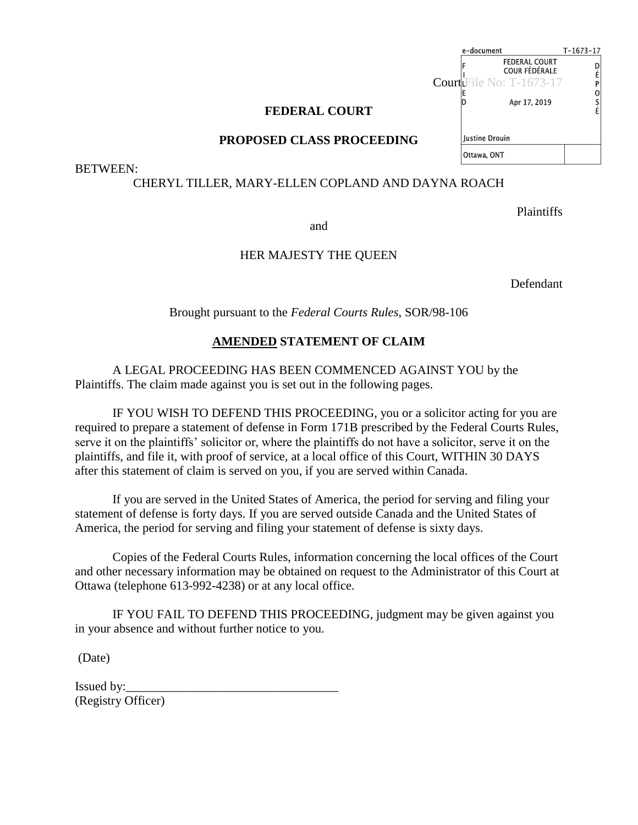| e-document                                   | $T-1673-17$ |
|----------------------------------------------|-------------|
| <b>FEDERAL COURT</b><br><b>COUR FÉDÉRALE</b> |             |
| Courtle No: T-1673-17                        | É<br>P      |
| F                                            |             |
| Apr 17, 2019                                 | د<br>F      |
|                                              |             |
| Justine Drouin                               |             |
| Ottawa, ONT                                  |             |

# **FEDERAL COURT**

# **PROPOSED CLASS PROCEEDING**

BETWEEN:

# CHERYL TILLER, MARY-ELLEN COPLAND AND DAYNA ROACH

Plaintiffs

and

# HER MAJESTY THE QUEEN

Defendant

Brought pursuant to the *Federal Courts Rules*, SOR/98-106

# **AMENDED STATEMENT OF CLAIM**

A LEGAL PROCEEDING HAS BEEN COMMENCED AGAINST YOU by the Plaintiffs. The claim made against you is set out in the following pages.

IF YOU WISH TO DEFEND THIS PROCEEDING, you or a solicitor acting for you are required to prepare a statement of defense in Form 171B prescribed by the Federal Courts Rules, serve it on the plaintiffs' solicitor or, where the plaintiffs do not have a solicitor, serve it on the plaintiffs, and file it, with proof of service, at a local office of this Court, WITHIN 30 DAYS after this statement of claim is served on you, if you are served within Canada.

If you are served in the United States of America, the period for serving and filing your statement of defense is forty days. If you are served outside Canada and the United States of America, the period for serving and filing your statement of defense is sixty days.

Copies of the Federal Courts Rules, information concerning the local offices of the Court and other necessary information may be obtained on request to the Administrator of this Court at Ottawa (telephone 613-992-4238) or at any local office.

IF YOU FAIL TO DEFEND THIS PROCEEDING, judgment may be given against you in your absence and without further notice to you.

(Date)

Issued by: (Registry Officer)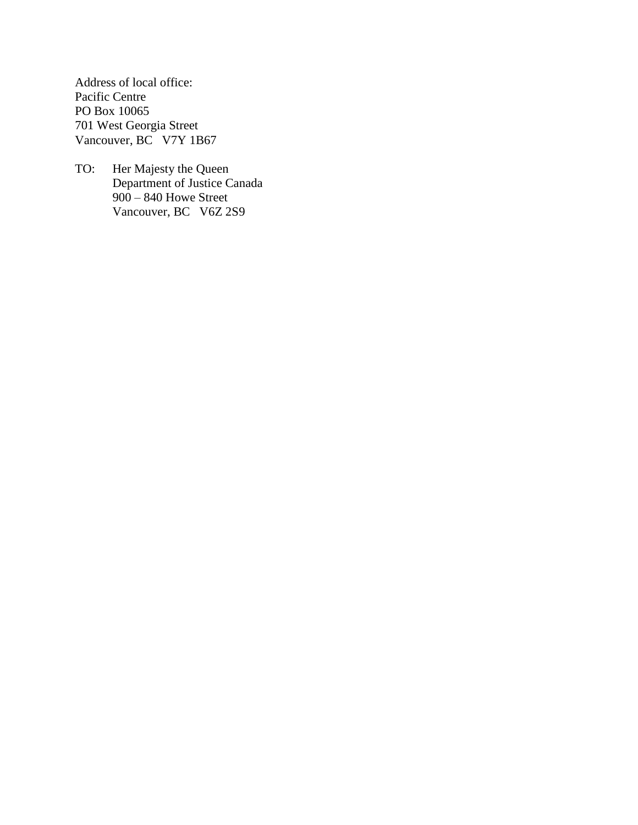Address of local office: Pacific Centre PO Box 10065 701 West Georgia Street Vancouver, BC V7Y 1B67

TO: Her Majesty the Queen Department of Justice Canada  $900 - 840$  Howe Street Vancouver, BC V6Z 2S9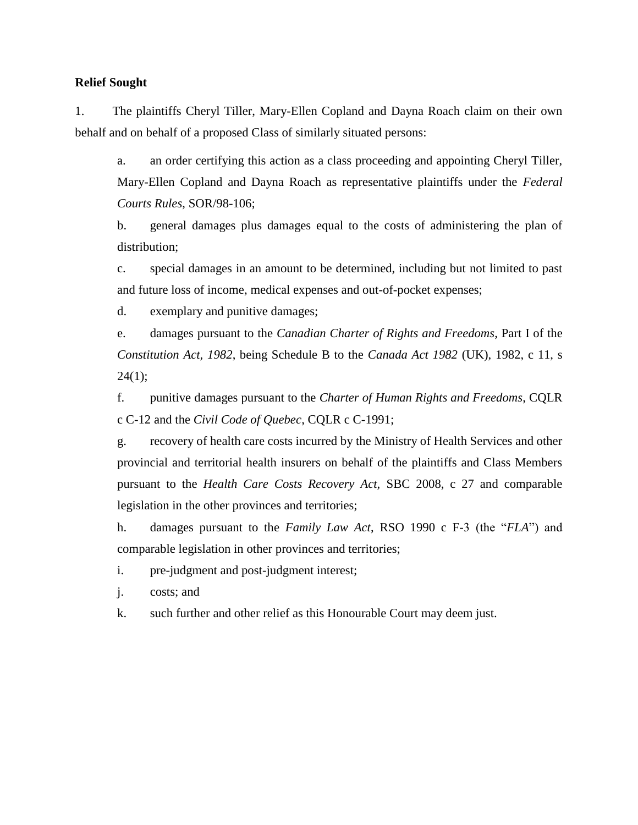# **Relief Sought**

1. The plaintiffs Cheryl Tiller, Mary-Ellen Copland and Dayna Roach claim on their own behalf and on behalf of a proposed Class of similarly situated persons:

a. an order certifying this action as a class proceeding and appointing Cheryl Tiller, Mary-Ellen Copland and Dayna Roach as representative plaintiffs under the *Federal Courts Rules*, SOR/98-106;

b. general damages plus damages equal to the costs of administering the plan of distribution;

c. special damages in an amount to be determined, including but not limited to past and future loss of income, medical expenses and out-of-pocket expenses;

d. exemplary and punitive damages;

e. damages pursuant to the *Canadian Charter of Rights and Freedoms*, Part I of the *Constitution Act, 1982*, being Schedule B to the *Canada Act 1982* (UK), 1982, c 11, s  $24(1);$ 

f. punitive damages pursuant to the *Charter of Human Rights and Freedoms*, CQLR c C-12 and the *Civil Code of Quebec*, CQLR c C-1991;

g. recovery of health care costs incurred by the Ministry of Health Services and other provincial and territorial health insurers on behalf of the plaintiffs and Class Members pursuant to the *Health Care Costs Recovery Act,* SBC 2008, c 27 and comparable legislation in the other provinces and territories;

h. damages pursuant to the *Family Law Act*, RSO 1990 c F-3 (the "*FLA*") and comparable legislation in other provinces and territories;

i. pre-judgment and post-judgment interest;

j. costs; and

k. such further and other relief as this Honourable Court may deem just.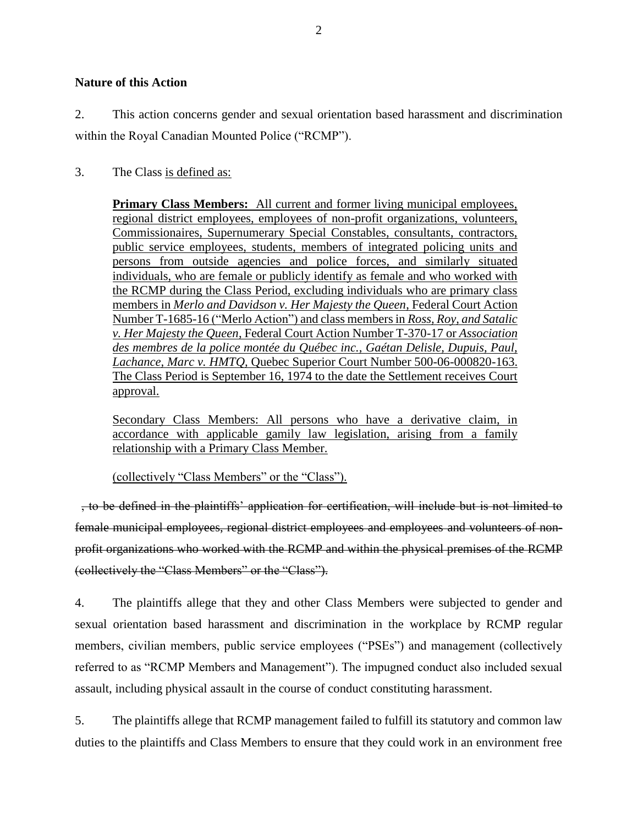# **Nature of this Action**

2. This action concerns gender and sexual orientation based harassment and discrimination within the Royal Canadian Mounted Police ("RCMP").

# 3. The Class is defined as:

**Primary Class Members:** All current and former living municipal employees, regional district employees, employees of non-profit organizations, volunteers, Commissionaires, Supernumerary Special Constables, consultants, contractors, public service employees, students, members of integrated policing units and persons from outside agencies and police forces, and similarly situated individuals, who are female or publicly identify as female and who worked with the RCMP during the Class Period, excluding individuals who are primary class members in *Merlo and Davidson v. Her Majesty the Queen*, Federal Court Action Number T-1685-16 ("Merlo Action") and class members in *Ross, Roy, and Satalic v. Her Majesty the Queen*, Federal Court Action Number T-370-17 or *Association des membres de la police montée du Québec inc., Gaétan Delisle, Dupuis, Paul, Lachance, Marc v. HMTQ,* Quebec Superior Court Number 500-06-000820-163. The Class Period is September 16, 1974 to the date the Settlement receives Court approval.

Secondary Class Members: All persons who have a derivative claim, in accordance with applicable gamily law legislation, arising from a family relationship with a Primary Class Member.

(collectively "Class Members" or the "Class").

 , to be defined in the plaintiffs' application for certification, will include but is not limited to female municipal employees, regional district employees and employees and volunteers of nonprofit organizations who worked with the RCMP and within the physical premises of the RCMP (collectively the "Class Members" or the "Class").

4. The plaintiffs allege that they and other Class Members were subjected to gender and sexual orientation based harassment and discrimination in the workplace by RCMP regular members, civilian members, public service employees ("PSEs") and management (collectively referred to as "RCMP Members and Management"). The impugned conduct also included sexual assault, including physical assault in the course of conduct constituting harassment.

5. The plaintiffs allege that RCMP management failed to fulfill its statutory and common law duties to the plaintiffs and Class Members to ensure that they could work in an environment free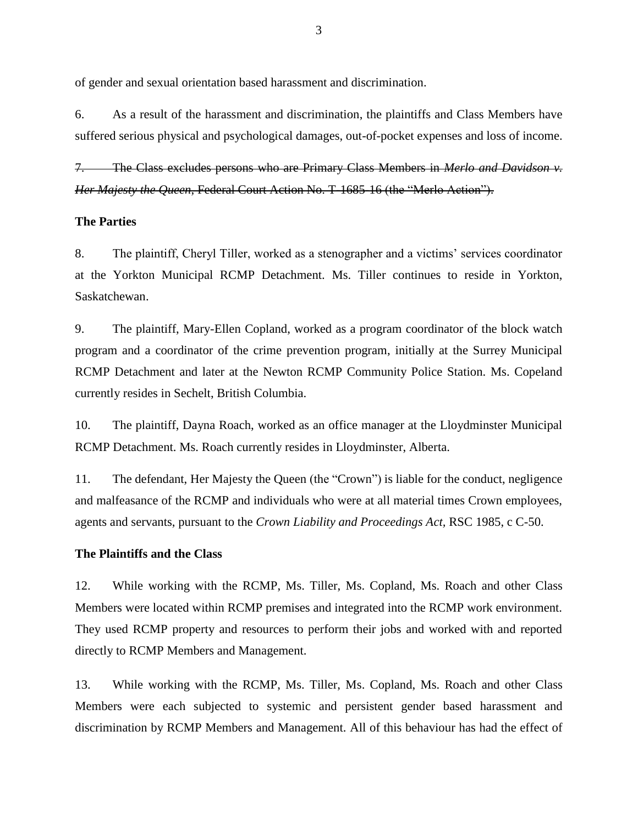of gender and sexual orientation based harassment and discrimination.

6. As a result of the harassment and discrimination, the plaintiffs and Class Members have suffered serious physical and psychological damages, out-of-pocket expenses and loss of income.

7. The Class excludes persons who are Primary Class Members in *Merlo and Davidson v. Her Majesty the Queen*, Federal Court Action No. T-1685-16 (the "Merlo Action").

#### **The Parties**

8. The plaintiff, Cheryl Tiller, worked as a stenographer and a victims' services coordinator at the Yorkton Municipal RCMP Detachment. Ms. Tiller continues to reside in Yorkton, Saskatchewan.

9. The plaintiff, Mary-Ellen Copland, worked as a program coordinator of the block watch program and a coordinator of the crime prevention program, initially at the Surrey Municipal RCMP Detachment and later at the Newton RCMP Community Police Station. Ms. Copeland currently resides in Sechelt, British Columbia.

10. The plaintiff, Dayna Roach, worked as an office manager at the Lloydminster Municipal RCMP Detachment. Ms. Roach currently resides in Lloydminster, Alberta.

11. The defendant, Her Majesty the Queen (the "Crown") is liable for the conduct, negligence and malfeasance of the RCMP and individuals who were at all material times Crown employees, agents and servants, pursuant to the *Crown Liability and Proceedings Act,* RSC 1985, c C-50.

#### **The Plaintiffs and the Class**

12. While working with the RCMP, Ms. Tiller, Ms. Copland, Ms. Roach and other Class Members were located within RCMP premises and integrated into the RCMP work environment. They used RCMP property and resources to perform their jobs and worked with and reported directly to RCMP Members and Management.

13. While working with the RCMP, Ms. Tiller, Ms. Copland, Ms. Roach and other Class Members were each subjected to systemic and persistent gender based harassment and discrimination by RCMP Members and Management. All of this behaviour has had the effect of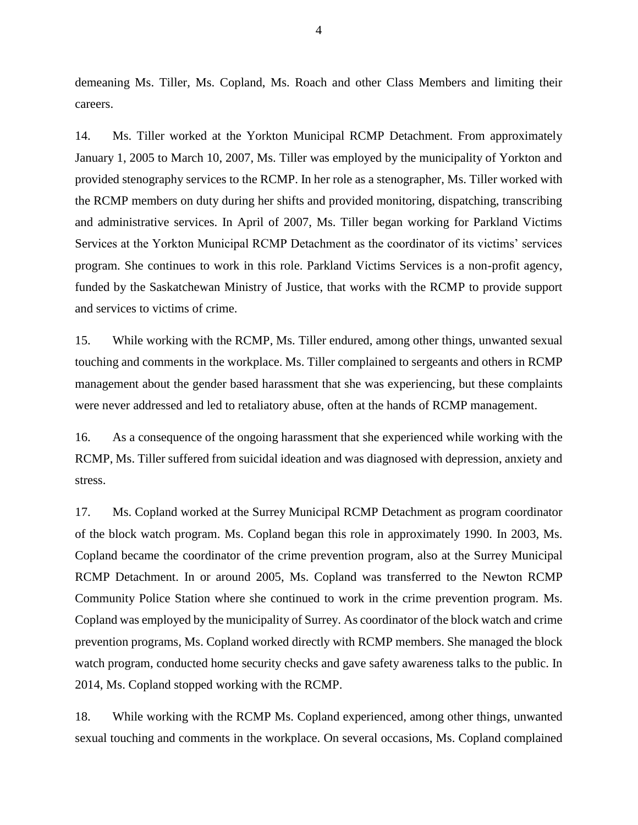demeaning Ms. Tiller, Ms. Copland, Ms. Roach and other Class Members and limiting their careers.

14. Ms. Tiller worked at the Yorkton Municipal RCMP Detachment. From approximately January 1, 2005 to March 10, 2007, Ms. Tiller was employed by the municipality of Yorkton and provided stenography services to the RCMP. In her role as a stenographer, Ms. Tiller worked with the RCMP members on duty during her shifts and provided monitoring, dispatching, transcribing and administrative services. In April of 2007, Ms. Tiller began working for Parkland Victims Services at the Yorkton Municipal RCMP Detachment as the coordinator of its victims' services program. She continues to work in this role. Parkland Victims Services is a non-profit agency, funded by the Saskatchewan Ministry of Justice, that works with the RCMP to provide support and services to victims of crime.

15. While working with the RCMP, Ms. Tiller endured, among other things, unwanted sexual touching and comments in the workplace. Ms. Tiller complained to sergeants and others in RCMP management about the gender based harassment that she was experiencing, but these complaints were never addressed and led to retaliatory abuse, often at the hands of RCMP management.

16. As a consequence of the ongoing harassment that she experienced while working with the RCMP, Ms. Tiller suffered from suicidal ideation and was diagnosed with depression, anxiety and stress.

17. Ms. Copland worked at the Surrey Municipal RCMP Detachment as program coordinator of the block watch program. Ms. Copland began this role in approximately 1990. In 2003, Ms. Copland became the coordinator of the crime prevention program, also at the Surrey Municipal RCMP Detachment. In or around 2005, Ms. Copland was transferred to the Newton RCMP Community Police Station where she continued to work in the crime prevention program. Ms. Copland was employed by the municipality of Surrey. As coordinator of the block watch and crime prevention programs, Ms. Copland worked directly with RCMP members. She managed the block watch program, conducted home security checks and gave safety awareness talks to the public. In 2014, Ms. Copland stopped working with the RCMP.

18. While working with the RCMP Ms. Copland experienced, among other things, unwanted sexual touching and comments in the workplace. On several occasions, Ms. Copland complained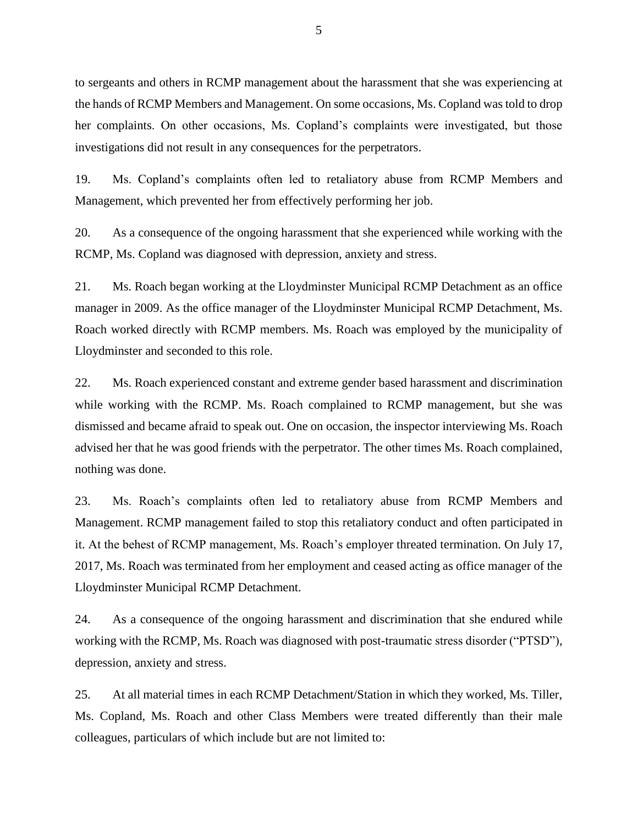to sergeants and others in RCMP management about the harassment that she was experiencing at the hands of RCMP Members and Management. On some occasions, Ms. Copland was told to drop her complaints. On other occasions, Ms. Copland's complaints were investigated, but those investigations did not result in any consequences for the perpetrators.

19. Ms. Copland's complaints often led to retaliatory abuse from RCMP Members and Management, which prevented her from effectively performing her job.

20. As a consequence of the ongoing harassment that she experienced while working with the RCMP, Ms. Copland was diagnosed with depression, anxiety and stress.

21. Ms. Roach began working at the Lloydminster Municipal RCMP Detachment as an office manager in 2009. As the office manager of the Lloydminster Municipal RCMP Detachment, Ms. Roach worked directly with RCMP members. Ms. Roach was employed by the municipality of Lloydminster and seconded to this role.

22. Ms. Roach experienced constant and extreme gender based harassment and discrimination while working with the RCMP. Ms. Roach complained to RCMP management, but she was dismissed and became afraid to speak out. One on occasion, the inspector interviewing Ms. Roach advised her that he was good friends with the perpetrator. The other times Ms. Roach complained, nothing was done.

23. Ms. Roach's complaints often led to retaliatory abuse from RCMP Members and Management. RCMP management failed to stop this retaliatory conduct and often participated in it. At the behest of RCMP management, Ms. Roach's employer threated termination. On July 17, 2017, Ms. Roach was terminated from her employment and ceased acting as office manager of the Lloydminster Municipal RCMP Detachment.

24. As a consequence of the ongoing harassment and discrimination that she endured while working with the RCMP, Ms. Roach was diagnosed with post-traumatic stress disorder ("PTSD"), depression, anxiety and stress.

25. At all material times in each RCMP Detachment/Station in which they worked, Ms. Tiller, Ms. Copland, Ms. Roach and other Class Members were treated differently than their male colleagues, particulars of which include but are not limited to: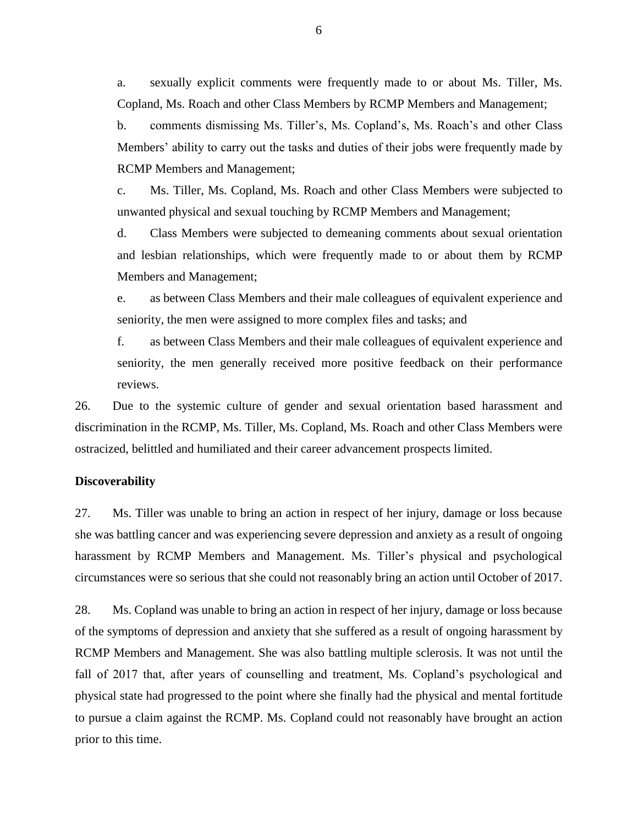a. sexually explicit comments were frequently made to or about Ms. Tiller, Ms. Copland, Ms. Roach and other Class Members by RCMP Members and Management;

b. comments dismissing Ms. Tiller's, Ms. Copland's, Ms. Roach's and other Class Members' ability to carry out the tasks and duties of their jobs were frequently made by RCMP Members and Management;

c. Ms. Tiller, Ms. Copland, Ms. Roach and other Class Members were subjected to unwanted physical and sexual touching by RCMP Members and Management;

d. Class Members were subjected to demeaning comments about sexual orientation and lesbian relationships, which were frequently made to or about them by RCMP Members and Management;

e. as between Class Members and their male colleagues of equivalent experience and seniority, the men were assigned to more complex files and tasks; and

f. as between Class Members and their male colleagues of equivalent experience and seniority, the men generally received more positive feedback on their performance reviews.

26. Due to the systemic culture of gender and sexual orientation based harassment and discrimination in the RCMP, Ms. Tiller, Ms. Copland, Ms. Roach and other Class Members were ostracized, belittled and humiliated and their career advancement prospects limited.

## **Discoverability**

27. Ms. Tiller was unable to bring an action in respect of her injury, damage or loss because she was battling cancer and was experiencing severe depression and anxiety as a result of ongoing harassment by RCMP Members and Management. Ms. Tiller's physical and psychological circumstances were so serious that she could not reasonably bring an action until October of 2017.

28. Ms. Copland was unable to bring an action in respect of her injury, damage or loss because of the symptoms of depression and anxiety that she suffered as a result of ongoing harassment by RCMP Members and Management. She was also battling multiple sclerosis. It was not until the fall of 2017 that, after years of counselling and treatment, Ms. Copland's psychological and physical state had progressed to the point where she finally had the physical and mental fortitude to pursue a claim against the RCMP. Ms. Copland could not reasonably have brought an action prior to this time.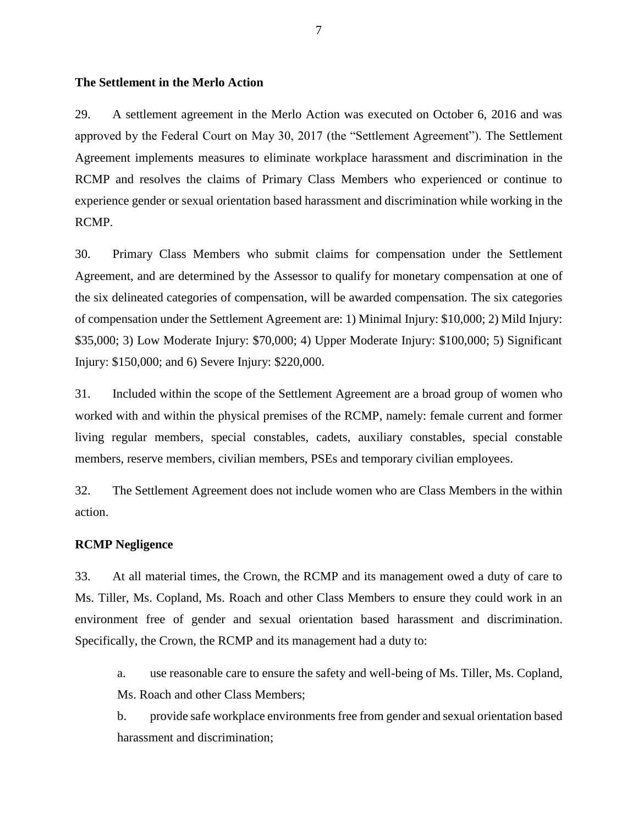## **The Settlement in the Merlo Action**

29. A settlement agreement in the Merlo Action was executed on October 6, 2016 and was approved by the Federal Court on May 30, 2017 (the "Settlement Agreement"). The Settlement Agreement implements measures to eliminate workplace harassment and discrimination in the RCMP and resolves the claims of Primary Class Members who experienced or continue to experience gender or sexual orientation based harassment and discrimination while working in the RCMP.

30. Primary Class Members who submit claims for compensation under the Settlement Agreement, and are determined by the Assessor to qualify for monetary compensation at one of the six delineated categories of compensation, will be awarded compensation. The six categories of compensation under the Settlement Agreement are: 1) Minimal Injury: \$10,000; 2) Mild Injury: \$35,000; 3) Low Moderate Injury: \$70,000; 4) Upper Moderate Injury: \$100,000; 5) Significant Injury: \$150,000; and 6) Severe Injury: \$220,000.

31. Included within the scope of the Settlement Agreement are a broad group of women who worked with and within the physical premises of the RCMP, namely: female current and former living regular members, special constables, cadets, auxiliary constables, special constable members, reserve members, civilian members, PSEs and temporary civilian employees.

32. The Settlement Agreement does not include women who are Class Members in the within action.

## **RCMP Negligence**

33. At all material times, the Crown, the RCMP and its management owed a duty of care to Ms. Tiller, Ms. Copland, Ms. Roach and other Class Members to ensure they could work in an environment free of gender and sexual orientation based harassment and discrimination. Specifically, the Crown, the RCMP and its management had a duty to:

a. use reasonable care to ensure the safety and well-being of Ms. Tiller, Ms. Copland, Ms. Roach and other Class Members;

b. provide safe workplace environments free from gender and sexual orientation based harassment and discrimination;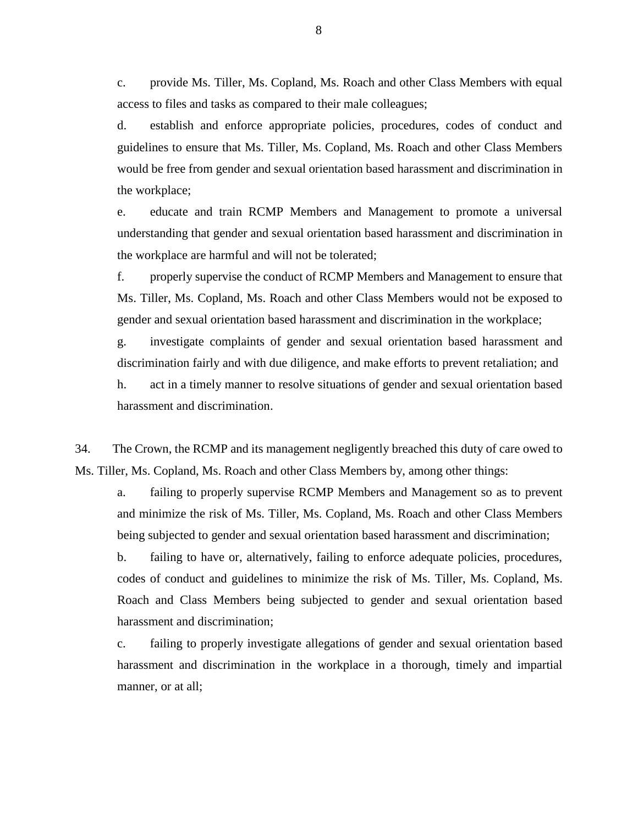c. provide Ms. Tiller, Ms. Copland, Ms. Roach and other Class Members with equal access to files and tasks as compared to their male colleagues;

d. establish and enforce appropriate policies, procedures, codes of conduct and guidelines to ensure that Ms. Tiller, Ms. Copland, Ms. Roach and other Class Members would be free from gender and sexual orientation based harassment and discrimination in the workplace;

e. educate and train RCMP Members and Management to promote a universal understanding that gender and sexual orientation based harassment and discrimination in the workplace are harmful and will not be tolerated;

f. properly supervise the conduct of RCMP Members and Management to ensure that Ms. Tiller, Ms. Copland, Ms. Roach and other Class Members would not be exposed to gender and sexual orientation based harassment and discrimination in the workplace;

g. investigate complaints of gender and sexual orientation based harassment and discrimination fairly and with due diligence, and make efforts to prevent retaliation; and

h. act in a timely manner to resolve situations of gender and sexual orientation based harassment and discrimination.

34. The Crown, the RCMP and its management negligently breached this duty of care owed to Ms. Tiller, Ms. Copland, Ms. Roach and other Class Members by, among other things:

a. failing to properly supervise RCMP Members and Management so as to prevent and minimize the risk of Ms. Tiller, Ms. Copland, Ms. Roach and other Class Members being subjected to gender and sexual orientation based harassment and discrimination;

b. failing to have or, alternatively, failing to enforce adequate policies, procedures, codes of conduct and guidelines to minimize the risk of Ms. Tiller, Ms. Copland, Ms. Roach and Class Members being subjected to gender and sexual orientation based harassment and discrimination;

c. failing to properly investigate allegations of gender and sexual orientation based harassment and discrimination in the workplace in a thorough, timely and impartial manner, or at all;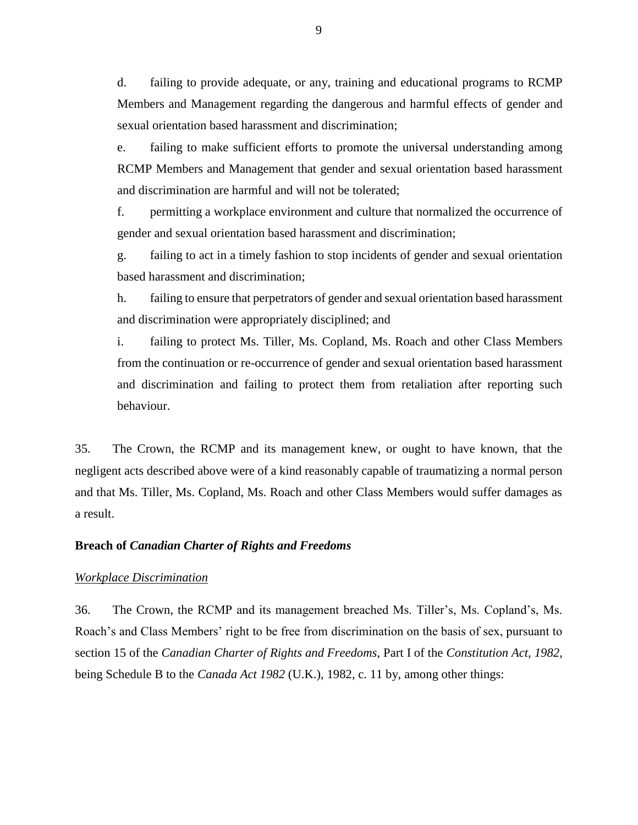d. failing to provide adequate, or any, training and educational programs to RCMP Members and Management regarding the dangerous and harmful effects of gender and sexual orientation based harassment and discrimination;

e. failing to make sufficient efforts to promote the universal understanding among RCMP Members and Management that gender and sexual orientation based harassment and discrimination are harmful and will not be tolerated;

f. permitting a workplace environment and culture that normalized the occurrence of gender and sexual orientation based harassment and discrimination;

g. failing to act in a timely fashion to stop incidents of gender and sexual orientation based harassment and discrimination;

h. failing to ensure that perpetrators of gender and sexual orientation based harassment and discrimination were appropriately disciplined; and

i. failing to protect Ms. Tiller, Ms. Copland, Ms. Roach and other Class Members from the continuation or re-occurrence of gender and sexual orientation based harassment and discrimination and failing to protect them from retaliation after reporting such behaviour.

35. The Crown, the RCMP and its management knew, or ought to have known, that the negligent acts described above were of a kind reasonably capable of traumatizing a normal person and that Ms. Tiller, Ms. Copland, Ms. Roach and other Class Members would suffer damages as a result.

## **Breach of** *Canadian Charter of Rights and Freedoms*

## *Workplace Discrimination*

36. The Crown, the RCMP and its management breached Ms. Tiller's, Ms. Copland's, Ms. Roach's and Class Members' right to be free from discrimination on the basis of sex, pursuant to section 15 of the *Canadian Charter of Rights and Freedoms*, Part I of the *Constitution Act, 1982*, being Schedule B to the *Canada Act 1982* (U.K.), 1982, c. 11 by, among other things: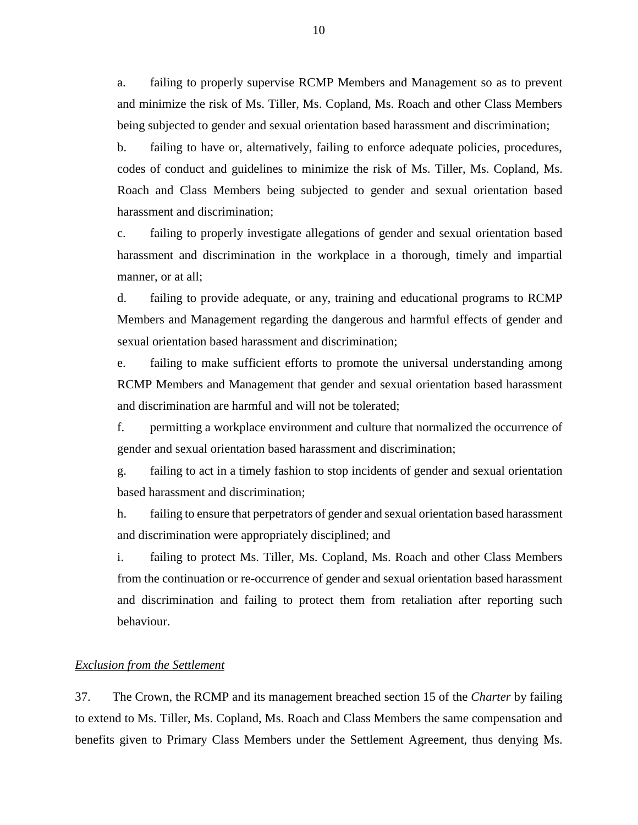a. failing to properly supervise RCMP Members and Management so as to prevent and minimize the risk of Ms. Tiller, Ms. Copland, Ms. Roach and other Class Members being subjected to gender and sexual orientation based harassment and discrimination;

b. failing to have or, alternatively, failing to enforce adequate policies, procedures, codes of conduct and guidelines to minimize the risk of Ms. Tiller, Ms. Copland, Ms. Roach and Class Members being subjected to gender and sexual orientation based harassment and discrimination;

c. failing to properly investigate allegations of gender and sexual orientation based harassment and discrimination in the workplace in a thorough, timely and impartial manner, or at all;

d. failing to provide adequate, or any, training and educational programs to RCMP Members and Management regarding the dangerous and harmful effects of gender and sexual orientation based harassment and discrimination;

e. failing to make sufficient efforts to promote the universal understanding among RCMP Members and Management that gender and sexual orientation based harassment and discrimination are harmful and will not be tolerated;

f. permitting a workplace environment and culture that normalized the occurrence of gender and sexual orientation based harassment and discrimination;

g. failing to act in a timely fashion to stop incidents of gender and sexual orientation based harassment and discrimination;

h. failing to ensure that perpetrators of gender and sexual orientation based harassment and discrimination were appropriately disciplined; and

i. failing to protect Ms. Tiller, Ms. Copland, Ms. Roach and other Class Members from the continuation or re-occurrence of gender and sexual orientation based harassment and discrimination and failing to protect them from retaliation after reporting such behaviour.

## *Exclusion from the Settlement*

37. The Crown, the RCMP and its management breached section 15 of the *Charter* by failing to extend to Ms. Tiller, Ms. Copland, Ms. Roach and Class Members the same compensation and benefits given to Primary Class Members under the Settlement Agreement, thus denying Ms.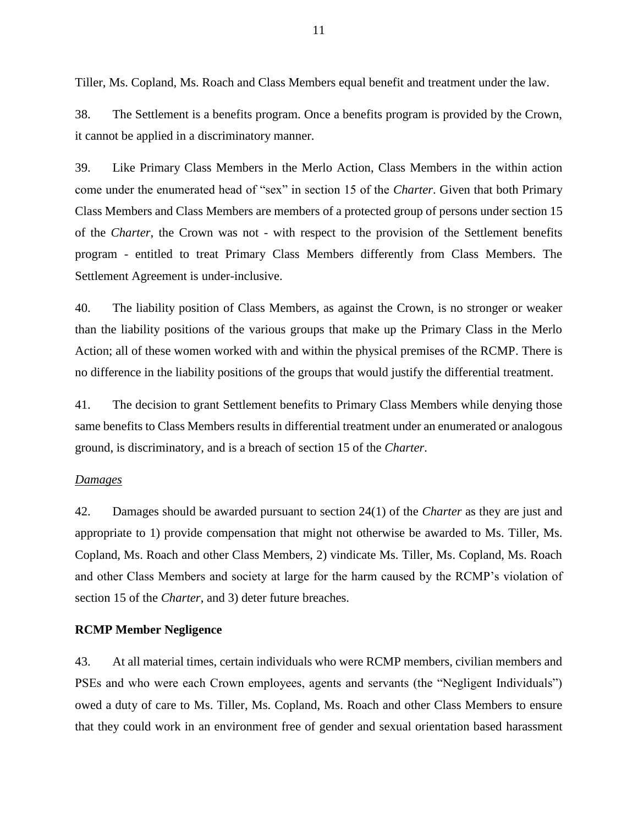Tiller, Ms. Copland, Ms. Roach and Class Members equal benefit and treatment under the law.

38. The Settlement is a benefits program. Once a benefits program is provided by the Crown, it cannot be applied in a discriminatory manner.

39. Like Primary Class Members in the Merlo Action, Class Members in the within action come under the enumerated head of "sex" in section 15 of the *Charter*. Given that both Primary Class Members and Class Members are members of a protected group of persons under section 15 of the *Charter*, the Crown was not - with respect to the provision of the Settlement benefits program - entitled to treat Primary Class Members differently from Class Members. The Settlement Agreement is under-inclusive.

40. The liability position of Class Members, as against the Crown, is no stronger or weaker than the liability positions of the various groups that make up the Primary Class in the Merlo Action; all of these women worked with and within the physical premises of the RCMP. There is no difference in the liability positions of the groups that would justify the differential treatment.

41. The decision to grant Settlement benefits to Primary Class Members while denying those same benefits to Class Members results in differential treatment under an enumerated or analogous ground, is discriminatory, and is a breach of section 15 of the *Charter*.

#### *Damages*

42. Damages should be awarded pursuant to section 24(1) of the *Charter* as they are just and appropriate to 1) provide compensation that might not otherwise be awarded to Ms. Tiller, Ms. Copland, Ms. Roach and other Class Members, 2) vindicate Ms. Tiller, Ms. Copland, Ms. Roach and other Class Members and society at large for the harm caused by the RCMP's violation of section 15 of the *Charter*, and 3) deter future breaches.

### **RCMP Member Negligence**

43. At all material times, certain individuals who were RCMP members, civilian members and PSEs and who were each Crown employees, agents and servants (the "Negligent Individuals") owed a duty of care to Ms. Tiller, Ms. Copland, Ms. Roach and other Class Members to ensure that they could work in an environment free of gender and sexual orientation based harassment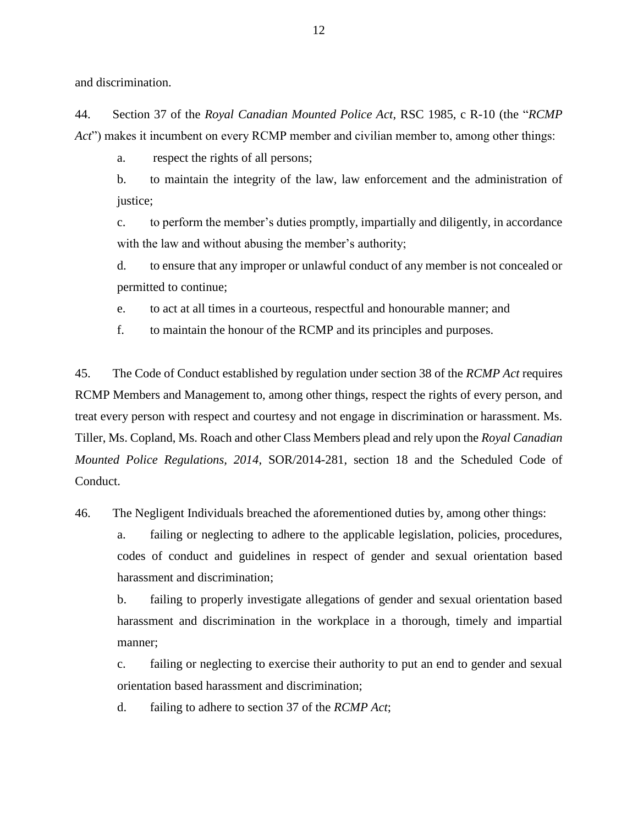and discrimination.

44. Section 37 of the *Royal Canadian Mounted Police Act*, RSC 1985, c R-10 (the "*RCMP Act*") makes it incumbent on every RCMP member and civilian member to, among other things:

a. respect the rights of all persons;

b. to maintain the integrity of the law, law enforcement and the administration of justice;

c. to perform the member's duties promptly, impartially and diligently, in accordance with the law and without abusing the member's authority;

d. to ensure that any improper or unlawful conduct of any member is not concealed or permitted to continue;

e. to act at all times in a courteous, respectful and honourable manner; and

f. to maintain the honour of the RCMP and its principles and purposes.

45. The Code of Conduct established by regulation under section 38 of the *RCMP Act* requires RCMP Members and Management to, among other things, respect the rights of every person, and treat every person with respect and courtesy and not engage in discrimination or harassment. Ms. Tiller, Ms. Copland, Ms. Roach and other Class Members plead and rely upon the *Royal Canadian Mounted Police Regulations, 2014*, SOR/2014-281, section 18 and the Scheduled Code of Conduct.

46. The Negligent Individuals breached the aforementioned duties by, among other things:

a. failing or neglecting to adhere to the applicable legislation, policies, procedures, codes of conduct and guidelines in respect of gender and sexual orientation based harassment and discrimination;

b. failing to properly investigate allegations of gender and sexual orientation based harassment and discrimination in the workplace in a thorough, timely and impartial manner;

c. failing or neglecting to exercise their authority to put an end to gender and sexual orientation based harassment and discrimination;

d. failing to adhere to section 37 of the *RCMP Act*;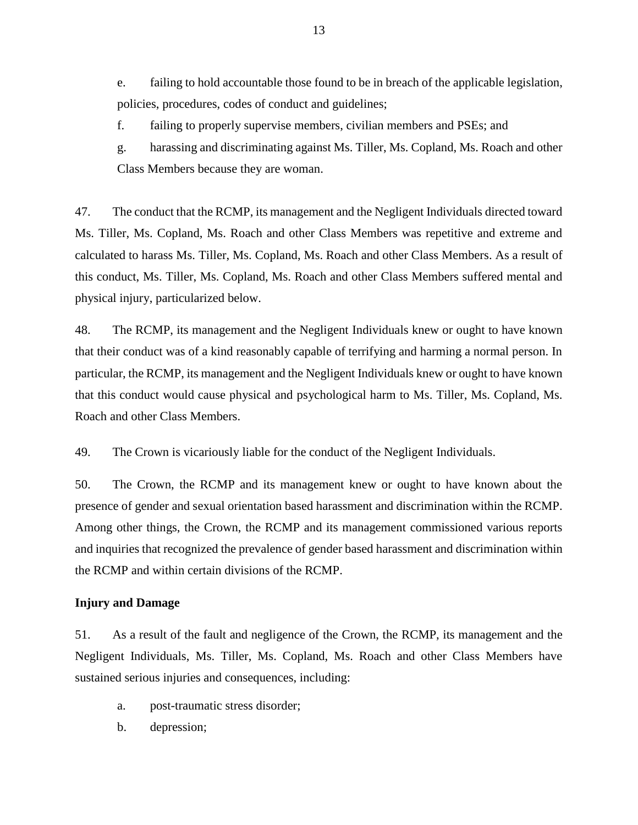e. failing to hold accountable those found to be in breach of the applicable legislation, policies, procedures, codes of conduct and guidelines;

f. failing to properly supervise members, civilian members and PSEs; and

g. harassing and discriminating against Ms. Tiller, Ms. Copland, Ms. Roach and other Class Members because they are woman.

47. The conduct that the RCMP, its management and the Negligent Individuals directed toward Ms. Tiller, Ms. Copland, Ms. Roach and other Class Members was repetitive and extreme and calculated to harass Ms. Tiller, Ms. Copland, Ms. Roach and other Class Members. As a result of this conduct, Ms. Tiller, Ms. Copland, Ms. Roach and other Class Members suffered mental and physical injury, particularized below.

48. The RCMP, its management and the Negligent Individuals knew or ought to have known that their conduct was of a kind reasonably capable of terrifying and harming a normal person. In particular, the RCMP, its management and the Negligent Individuals knew or ought to have known that this conduct would cause physical and psychological harm to Ms. Tiller, Ms. Copland, Ms. Roach and other Class Members.

49. The Crown is vicariously liable for the conduct of the Negligent Individuals.

50. The Crown, the RCMP and its management knew or ought to have known about the presence of gender and sexual orientation based harassment and discrimination within the RCMP. Among other things, the Crown, the RCMP and its management commissioned various reports and inquiries that recognized the prevalence of gender based harassment and discrimination within the RCMP and within certain divisions of the RCMP.

## **Injury and Damage**

51. As a result of the fault and negligence of the Crown, the RCMP, its management and the Negligent Individuals, Ms. Tiller, Ms. Copland, Ms. Roach and other Class Members have sustained serious injuries and consequences, including:

- a. post-traumatic stress disorder;
- b. depression;

13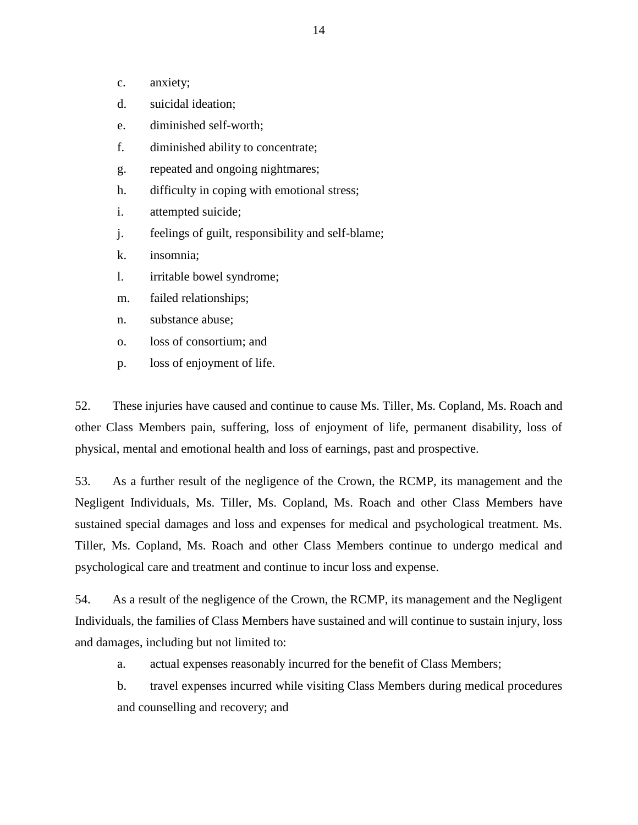- c. anxiety;
- d. suicidal ideation;
- e. diminished self-worth;
- f. diminished ability to concentrate;
- g. repeated and ongoing nightmares;
- h. difficulty in coping with emotional stress;
- i. attempted suicide;
- j. feelings of guilt, responsibility and self-blame;
- k. insomnia;
- l. irritable bowel syndrome;
- m. failed relationships;
- n. substance abuse;
- o. loss of consortium; and
- p. loss of enjoyment of life.

52. These injuries have caused and continue to cause Ms. Tiller, Ms. Copland, Ms. Roach and other Class Members pain, suffering, loss of enjoyment of life, permanent disability, loss of physical, mental and emotional health and loss of earnings, past and prospective.

53. As a further result of the negligence of the Crown, the RCMP, its management and the Negligent Individuals, Ms. Tiller, Ms. Copland, Ms. Roach and other Class Members have sustained special damages and loss and expenses for medical and psychological treatment. Ms. Tiller, Ms. Copland, Ms. Roach and other Class Members continue to undergo medical and psychological care and treatment and continue to incur loss and expense.

54. As a result of the negligence of the Crown, the RCMP, its management and the Negligent Individuals, the families of Class Members have sustained and will continue to sustain injury, loss and damages, including but not limited to:

a. actual expenses reasonably incurred for the benefit of Class Members;

b. travel expenses incurred while visiting Class Members during medical procedures and counselling and recovery; and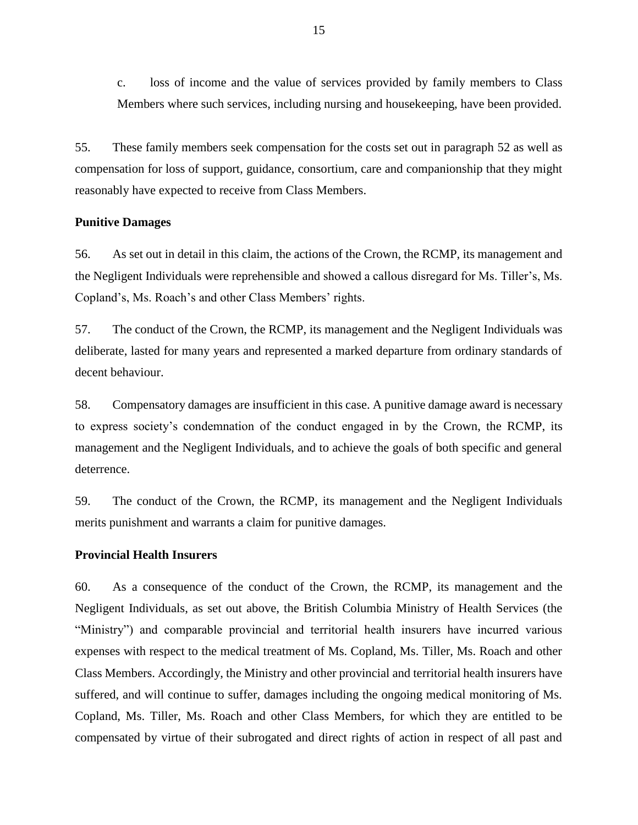c. loss of income and the value of services provided by family members to Class Members where such services, including nursing and housekeeping, have been provided.

55. These family members seek compensation for the costs set out in paragraph 52 as well as compensation for loss of support, guidance, consortium, care and companionship that they might reasonably have expected to receive from Class Members.

## **Punitive Damages**

56. As set out in detail in this claim, the actions of the Crown, the RCMP, its management and the Negligent Individuals were reprehensible and showed a callous disregard for Ms. Tiller's, Ms. Copland's, Ms. Roach's and other Class Members' rights.

57. The conduct of the Crown, the RCMP, its management and the Negligent Individuals was deliberate, lasted for many years and represented a marked departure from ordinary standards of decent behaviour.

58. Compensatory damages are insufficient in this case. A punitive damage award is necessary to express society's condemnation of the conduct engaged in by the Crown, the RCMP, its management and the Negligent Individuals, and to achieve the goals of both specific and general deterrence.

59. The conduct of the Crown, the RCMP, its management and the Negligent Individuals merits punishment and warrants a claim for punitive damages.

### **Provincial Health Insurers**

60. As a consequence of the conduct of the Crown, the RCMP, its management and the Negligent Individuals, as set out above, the British Columbia Ministry of Health Services (the "Ministry") and comparable provincial and territorial health insurers have incurred various expenses with respect to the medical treatment of Ms. Copland, Ms. Tiller, Ms. Roach and other Class Members. Accordingly, the Ministry and other provincial and territorial health insurers have suffered, and will continue to suffer, damages including the ongoing medical monitoring of Ms. Copland, Ms. Tiller, Ms. Roach and other Class Members, for which they are entitled to be compensated by virtue of their subrogated and direct rights of action in respect of all past and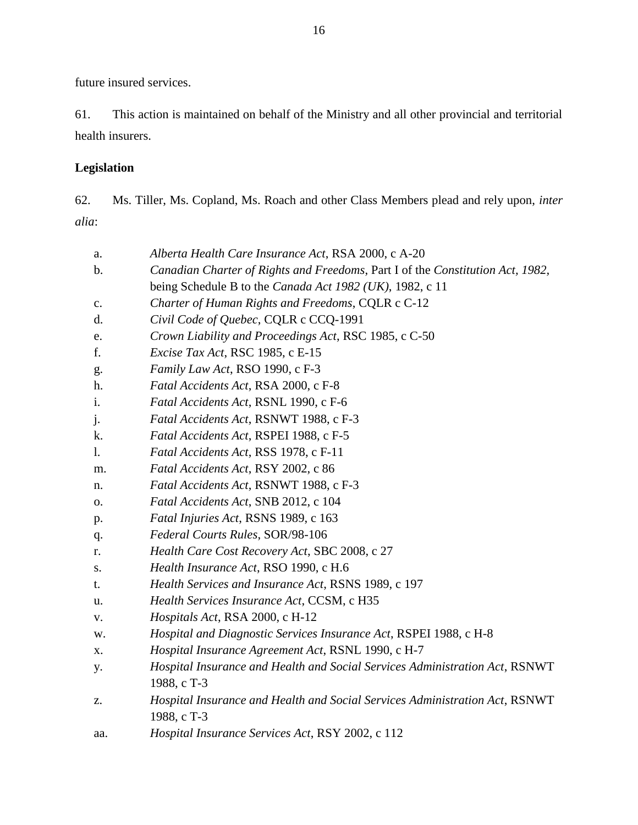future insured services.

61. This action is maintained on behalf of the Ministry and all other provincial and territorial health insurers.

# **Legislation**

62. Ms. Tiller, Ms. Copland, Ms. Roach and other Class Members plead and rely upon, *inter alia*:

- a. *Alberta Health Care Insurance Act*, RSA 2000, c A-20
- b. *Canadian Charter of Rights and Freedoms*, Part I of the *Constitution Act, 1982,*
- being Schedule B to the *Canada Act 1982 (UK)*, 1982, c 11
- c. *Charter of Human Rights and Freedoms*, CQLR c C-12
- d. *Civil Code of Quebec*, CQLR c CCQ-1991
- e. *Crown Liability and Proceedings Act*, RSC 1985, c C-50
- f. *Excise Tax Act*, RSC 1985, c E-15
- g. *Family Law Act*, RSO 1990, c F-3
- h. *Fatal Accidents Act*, RSA 2000, c F-8
- i. *Fatal Accidents Act*, RSNL 1990, c F-6
- j. *Fatal Accidents Act*, RSNWT 1988, c F-3
- k. *Fatal Accidents Act*, RSPEI 1988, c F-5
- l. *Fatal Accidents Act*, RSS 1978, c F-11
- m. *Fatal Accidents Act*, RSY 2002, c 86
- n. *Fatal Accidents Act*, RSNWT 1988, c F-3
- o. *Fatal Accidents Act*, SNB 2012, c 104
- p. *Fatal Injuries Act*, RSNS 1989, c 163
- q. *Federal Courts Rules*, SOR/98-106
- r. *Health Care Cost Recovery Act*, SBC 2008, c 27
- s. *Health Insurance Act*, RSO 1990, c H.6
- t. *Health Services and Insurance Act*, RSNS 1989, c 197
- u. *Health Services Insurance Act*, CCSM, c H35
- v. *Hospitals Act*, RSA 2000, c H-12
- w. *Hospital and Diagnostic Services Insurance Act*, RSPEI 1988, c H-8
- x. *Hospital Insurance Agreement Act*, RSNL 1990, c H-7
- y. *Hospital Insurance and Health and Social Services Administration Act*, RSNWT 1988, c T-3
- z. *Hospital Insurance and Health and Social Services Administration Act*, RSNWT 1988, c T-3
- aa. *Hospital Insurance Services Act*, RSY 2002, c 112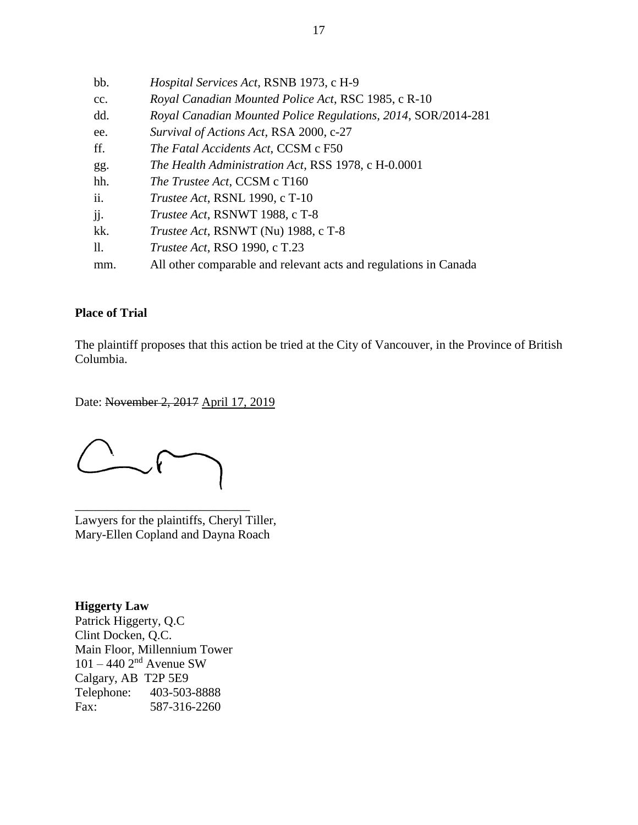| bb.              | Hospital Services Act, RSNB 1973, c H-9                          |
|------------------|------------------------------------------------------------------|
| cc.              | Royal Canadian Mounted Police Act, RSC 1985, c R-10              |
| dd.              | Royal Canadian Mounted Police Regulations, 2014, SOR/2014-281    |
| ee.              | Survival of Actions Act, RSA 2000, c-27                          |
| ff.              | The Fatal Accidents Act, CCSM c F50                              |
| gg.              | The Health Administration Act, RSS 1978, c H-0.0001              |
| hh.              | The Trustee Act, CCSM c T160                                     |
| ii.              | Trustee Act, RSNL 1990, c T-10                                   |
| $\overline{1}$ . | <i>Trustee Act</i> , RSNWT 1988, c T-8                           |
| kk.              | Trustee Act, RSNWT (Nu) 1988, c T-8                              |
| $\mathbf{ll}$ .  | <i>Trustee Act</i> , RSO 1990, c T.23                            |
| mm.              | All other comparable and relevant acts and regulations in Canada |

# **Place of Trial**

The plaintiff proposes that this action be tried at the City of Vancouver, in the Province of British Columbia.

Date: November 2, 2017 April 17, 2019

Lawyers for the plaintiffs, Cheryl Tiller, Mary-Ellen Copland and Dayna Roach

\_\_\_\_\_\_\_\_\_\_\_\_\_\_\_\_\_\_\_\_\_\_\_\_\_\_\_\_

**Higgerty Law** Patrick Higgerty, Q.C Clint Docken, Q.C. Main Floor, Millennium Tower  $101 - 440$  2<sup>nd</sup> Avenue SW Calgary, AB T2P 5E9 Telephone: 403-503-8888 Fax: 587-316-2260